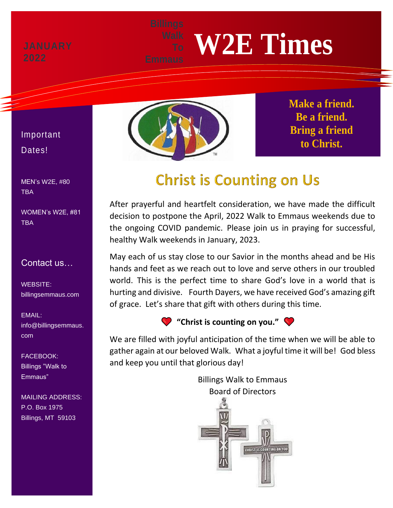# **W2E Times**



**Make a friend. Be a friend. Bring a friend to Christ.**

## **Christ is Counting on Us**

After prayerful and heartfelt consideration, we have made the difficult decision to postpone the April, 2022 Walk to Emmaus weekends due to the ongoing COVID pandemic. Please join us in praying for successful, healthy Walk weekends in January, 2023.

May each of us stay close to our Savior in the months ahead and be His hands and feet as we reach out to love and serve others in our troubled world. This is the perfect time to share God's love in a world that is hurting and divisive. Fourth Dayers, we have received God's amazing gift of grace. Let's share that gift with others during this time.

**"Christ is counting on you."**

We are filled with joyful anticipation of the time when we will be able to gather again at our beloved Walk. What a joyful time it will be! God bless and keep you until that glorious day!

> Billings Walk to Emmaus Board of Directors



### Important Dates!

MEN's W2E, #80 TBA

WOMEN's W2E, #81 **TBA** 

#### Contact us…

WEBSITE: billingsemmaus.com

EMAIL: info@billingsemmaus. com

FACEBOOK: Billings "Walk to Emmaus"

MAILING ADDRESS: P.O. Box 1975 Billings, MT 59103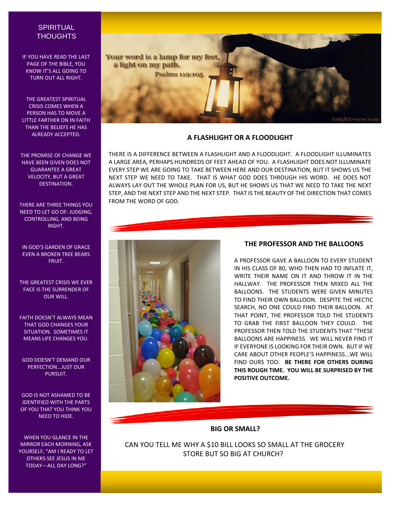#### **SPIRITUAL THOUGHTS**

IF YOU HAVE READ THE LAST PAGE OF THE BIBLE, YOU KNOW IT'S ALL GOING TO TURN OUT ALL RIGHT.

THE GREATEST SPIRITUAL CRISIS COMES WHEN A PERSON HAS TO MOVE A LITTLE FARTHER ON IN FAITH THAN THE BELIEFS HE HAS ALREADY ACCEPTED.

THE PROMISE OF CHANGE WE HAVE BEEN GIVEN DOES NOT GUARANTEE A GREAT VELOCITY, BUT A GREAT DESTINATION.

THERE ARE THREE THINGS YOU NEED TO LET GO OF: JUDGING, CONTROLLING, AND BEING RIGHT.

IN GOD'S GARDEN OF GRACE EVEN A BROKEN TREE BEARS FRUIT.

THE GREATEST CRISIS WE EVER FACE IS THE SURRENDER OF OUR WILL.

FAITH DOESN'T ALWAYS MEAN THAT GOD CHANGES YOUR SITUATION. SOMETIMES IT MEANS LIFE CHANGES YOU.

GOD DOESN'T DEMAND OUR PERFECTION...JUST OUR PURSUIT.

GOD IS NOT ASHAMED TO BE IDENTIFIED WITH THE PARTS OF YOU THAT YOU THINK YOU NEED TO HIDE.

WHEN YOU GLANCE IN THE MIRROR EACH MORNING, ASK YOURSELF, "AM I READY TO LET OTHERS SEE JESUS IN ME TODAY—ALL DAY LONG?"



#### **A FLASHLIGHT OR A FLOODLIGHT**

THERE IS A DIFFERENCE BETWEEN A FLASHLIGHT AND A FLOODLIGHT. A FLOODLIGHT ILLUMINATES A LARGE AREA, PERHAPS HUNDREDS OF FEET AHEAD OF YOU. A FLASHLIGHT DOES NOT ILLUMINATE EVERY STEP WE ARE GOING TO TAKE BETWEEN HERE AND OUR DESTINATION, BUT IT SHOWS US THE NEXT STEP WE NEED TO TAKE. THAT IS WHAT GOD DOES THROUGH HIS WORD. HE DOES NOT ALWAYS LAY OUT THE WHOLE PLAN FOR US, BUT HE SHOWS US THAT WE NEED TO TAKE THE NEXT STEP, AND THE NEXT STEP AND THE NEXT STEP. THAT IS THE BEAUTY OF THE DIRECTION THAT COMES FROM THE WORD OF GOD.



#### **THE PROFESSOR AND THE BALLOONS**

A PROFESSOR GAVE A BALLOON TO EVERY STUDENT IN HIS CLASS OF 80, WHO THEN HAD TO INFLATE IT, WRITE THEIR NAME ON IT AND THROW IT IN THE HALLWAY. THE PROFESSOR THEN MIXED ALL THE BALLOONS. THE STUDENTS WERE GIVEN MINUTES TO FIND THEIR OWN BALLOON. DESPITE THE HECTIC SEARCH, NO ONE COULD FIND THEIR BALLOON. AT THAT POINT, THE PROFESSOR TOLD THE STUDENTS TO GRAB THE FIRST BALLOON THEY COULD. THE PROFESSOR THEN TOLD THE STUDENTS THAT "THESE BALLOONS ARE HAPPINESS. WE WILL NEVER FIND IT IF EVERYONE IS LOOKING FOR THEIR OWN. BUT IF WE CARE ABOUT OTHER PEOPLE'S HAPPINESS. WE WILL FIND OURS TOO. **BE THERE FOR OTHERS DURING THIS ROUGH TIME. YOU WILL BE SURPRISED BY THE POSITIVE OUTCOME.**

#### **BIG OR SMALL?**

CAN YOU TELL ME WHY A \$10 BILL LOOKS SO SMALL AT THE GROCERY STORE BUT SO BIG AT CHURCH?